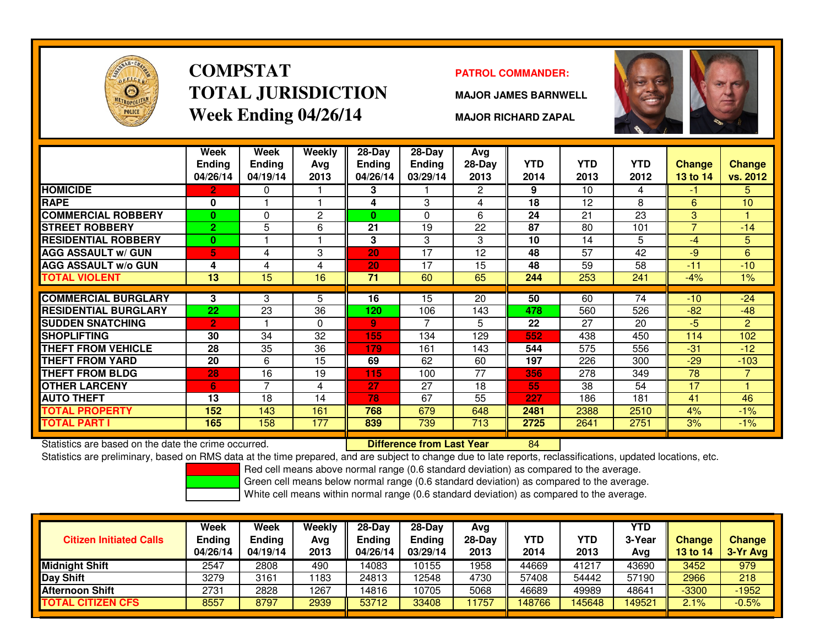

# **COMPSTATTOTAL JURISDICTIONWeek Ending 04/26/14**

### **PATROL COMMANDER:**

**MAJOR JAMES BARNWELL**



**MAJOR RICHARD ZAPAL**

|                             | Week<br><b>Ending</b><br>04/26/14 | Week<br><b>Ending</b><br>04/19/14 | <b>Weekly</b><br>Avg<br>2013 | $28-Day$<br>Ending<br>04/26/14 | $28-Day$<br><b>Ending</b><br>03/29/14 | Avg<br>28-Day<br>2013 | <b>YTD</b><br>2014 | <b>YTD</b><br>2013 | <b>YTD</b><br>2012 | <b>Change</b><br><b>13 to 14</b> | <b>Change</b><br>vs. 2012 |
|-----------------------------|-----------------------------------|-----------------------------------|------------------------------|--------------------------------|---------------------------------------|-----------------------|--------------------|--------------------|--------------------|----------------------------------|---------------------------|
| <b>HOMICIDE</b>             | 2                                 | 0                                 |                              | 3                              |                                       | $\mathbf{2}^{\circ}$  | 9                  | 10                 | 4                  | -1                               | 5.                        |
| <b>RAPE</b>                 | 0                                 |                                   |                              | 4                              | 3                                     | 4                     | 18                 | 12                 | 8                  | 6                                | 10                        |
| <b>COMMERCIAL ROBBERY</b>   | 0                                 | 0                                 | $\overline{c}$               | 0                              | $\Omega$                              | 6                     | 24                 | 21                 | 23                 | 3                                |                           |
| <b>STREET ROBBERY</b>       | $\overline{2}$                    | 5                                 | 6                            | 21                             | 19                                    | 22                    | 87                 | 80                 | 101                | 7                                | $-14$                     |
| <b>RESIDENTIAL ROBBERY</b>  | $\bf{0}$                          |                                   |                              | 3                              | 3                                     | 3                     | 10                 | 14                 | 5                  | -4                               | 5                         |
| <b>AGG ASSAULT w/ GUN</b>   | 5                                 | 4                                 | 3                            | 20                             | 17                                    | 12                    | 48                 | 57                 | 42                 | -9                               | 6                         |
| <b>AGG ASSAULT w/o GUN</b>  | 4                                 | 4                                 | 4                            | 20                             | 17                                    | 15                    | 48                 | 59                 | 58                 | $-11$                            | $-10$                     |
| <b>TOTAL VIOLENT</b>        | 13                                | 15                                | 16                           | 71                             | 60                                    | 65                    | 244                | 253                | 241                | $-4%$                            | $1\%$                     |
|                             |                                   |                                   |                              |                                |                                       |                       |                    |                    |                    |                                  |                           |
| <b>COMMERCIAL BURGLARY</b>  | 3                                 | 3                                 | 5                            | 16                             | 15                                    | 20                    | 50                 | 60                 | 74                 | $-10$                            | $-24$                     |
| <b>RESIDENTIAL BURGLARY</b> | 22                                | 23                                | 36                           | 120                            | 106                                   | 143                   | 478                | 560                | 526                | $-82$                            | $-48$                     |
| <b>SUDDEN SNATCHING</b>     | $\overline{2}$                    |                                   | $\Omega$                     | 9                              | 7                                     | 5                     | 22                 | 27                 | 20                 | $-5$                             | $\overline{2}$            |
| <b>SHOPLIFTING</b>          | 30                                | 34                                | 32                           | 155                            | 134                                   | 129                   | 552                | 438                | 450                | 114                              | 102                       |
| <b>THEFT FROM VEHICLE</b>   | 28                                | 35                                | 36                           | 179                            | 161                                   | 143                   | 544                | 575                | 556                | $-31$                            | $-12$                     |
| <b>THEFT FROM YARD</b>      | 20                                | 6                                 | 15                           | 69                             | 62                                    | 60                    | 197                | 226                | 300                | $-29$                            | $-103$                    |
| <b>THEFT FROM BLDG</b>      | 28                                | 16                                | 19                           | 115                            | 100                                   | 77                    | 356                | 278                | 349                | 78                               | $\overline{7}$            |
| <b>OTHER LARCENY</b>        | 6                                 | 7                                 | 4                            | 27                             | 27                                    | 18                    | 55                 | 38                 | 54                 | 17                               |                           |
| <b>AUTO THEFT</b>           | 13                                | 18                                | 14                           | 78                             | 67                                    | 55                    | 227                | 186                | 181                | 41                               | 46                        |
| <b>TOTAL PROPERTY</b>       | 152                               | 143                               | 161                          | 768                            | 679                                   | 648                   | 2481               | 2388               | 2510               | 4%                               | $-1%$                     |
| TOTAL PART I                | 165                               | 158                               | 177                          | 839                            | 739                                   | 713                   | 2725               | 2641               | 2751               | 3%                               | $-1\%$                    |

Statistics are based on the date the crime occurred. **Difference from Last Year** 

Statistics are based on the date the crime occurred. **[86] Luist Luist Commedia Commedia Commedia Commedia Com**<br>Statistics are preliminary, based on RMS data at the time prepared, and are subject to change due to late repo

Red cell means above normal range (0.6 standard deviation) as compared to the average.

Green cell means below normal range (0.6 standard deviation) as compared to the average.

| <b>Citizen Initiated Calls</b> | Week<br><b>Ending</b><br>04/26/14 | Week<br><b>Ending</b><br>04/19/14 | Weekly<br>Avg<br>2013 | $28-Dav$<br>Endina<br>04/26/14 | $28-Dav$<br><b>Ending</b><br>03/29/14 | Avg<br>$28-Day$<br>2013 | YTD<br>2014 | YTD<br>2013 | <b>YTD</b><br>3-Year<br>Avg | <b>Change</b><br>13 to 14 | Change<br>3-Yr Avg |
|--------------------------------|-----------------------------------|-----------------------------------|-----------------------|--------------------------------|---------------------------------------|-------------------------|-------------|-------------|-----------------------------|---------------------------|--------------------|
| <b>IMidniaht Shift</b>         | 2547                              | 2808                              | 490                   | 14083                          | 10155                                 | 1958                    | 44669       | 41217       | 43690                       | 3452                      | 979                |
| Day Shift                      | 3279                              | 3161                              | 183                   | 24813                          | 12548                                 | 4730                    | 57408       | 54442       | 57190                       | 2966                      | 218                |
| Afternoon Shift                | 2731                              | 2828                              | 1267                  | 14816                          | 10705                                 | 5068                    | 46689       | 49989       | 48641                       | $-3300$                   | $-1952$            |
| <b>TOTAL CITIZEN CFS</b>       | 8557                              | 8797                              | 2939                  | 53712                          | 33408                                 | 1757                    | 148766      | 145648      | 149521                      | 2.1%                      | $-0.5%$            |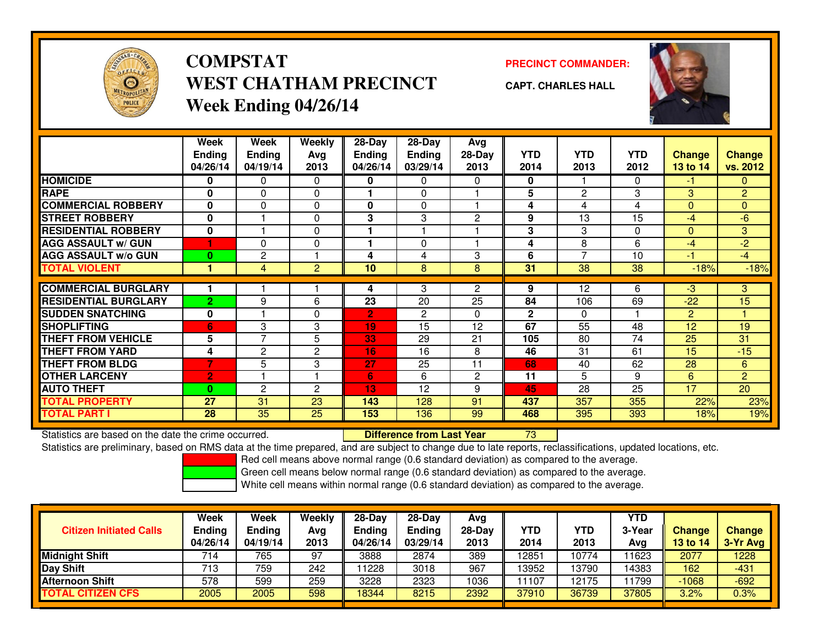

### **COMPSTATPRECINCT COMMANDER:**<br>
PRECINCT COMMANDER: **WEST CHATHAM PRECINCTWeek Ending 04/26/14**



**CAPT. CHARLES HALL**



|                             | Week           | Week           | Weekly         | $28-Day$       | $28-Day$       | Avg            |                |                   |            |               |                 |
|-----------------------------|----------------|----------------|----------------|----------------|----------------|----------------|----------------|-------------------|------------|---------------|-----------------|
|                             | <b>Ending</b>  | <b>Ending</b>  | Avg            | Ending         | <b>Ending</b>  | 28-Day         | <b>YTD</b>     | <b>YTD</b>        | <b>YTD</b> | <b>Change</b> | <b>Change</b>   |
|                             | 04/26/14       | 04/19/14       | 2013           | 04/26/14       | 03/29/14       | 2013           | 2014           | 2013              | 2012       | 13 to 14      | vs. 2012        |
| <b>HOMICIDE</b>             | 0              | 0              | 0              | 0              | 0              | 0              | 0              |                   | 0          | -1            | $\mathbf{0}$    |
| <b>RAPE</b>                 | 0              | $\mathbf{0}$   | 0              |                | 0              |                | 5              | $\overline{c}$    | 3          | 3             | $\overline{2}$  |
| <b>COMMERCIAL ROBBERY</b>   | $\mathbf{0}$   | $\mathbf{0}$   | 0              | $\mathbf{0}$   | 0              |                | 4              | 4                 | 4          | $\mathbf{0}$  | $\overline{0}$  |
| <b>STREET ROBBERY</b>       | 0              |                | 0              | 3              | 3              | $\overline{2}$ | 9              | 13                | 15         | $-4$          | $-6$            |
| <b>RESIDENTIAL ROBBERY</b>  | $\bf{0}$       |                | $\mathbf{0}$   |                |                |                | 3              | 3                 | $\Omega$   | $\mathbf{0}$  | 3               |
| <b>AGG ASSAULT w/ GUN</b>   |                | 0              | 0              |                | 0              |                | 4              | 8                 | 6          | $-4$          | $-2$            |
| <b>AGG ASSAULT W/o GUN</b>  | $\bf{0}$       | $\mathbf{2}$   |                | 4              | 4              | 3              | 6              | $\overline{7}$    | 10         | $-1$          | $-4$            |
| <b>TOTAL VIOLENT</b>        |                | 4              | $\overline{2}$ | 10             | 8              | 8              | 31             | 38                | 38         | $-18%$        | $-18%$          |
|                             |                |                |                |                |                |                |                |                   |            |               |                 |
| <b>COMMERCIAL BURGLARY</b>  |                |                |                | 4              | 3              | $\overline{2}$ | 9              | $12 \overline{ }$ | 6          | -3            | 3               |
| <b>RESIDENTIAL BURGLARY</b> | $\overline{2}$ | 9              | 6              | 23             | 20             | 25             | 84             | 106               | 69         | $-22$         | 15              |
| <b>SUDDEN SNATCHING</b>     | 0              |                | 0              | $\overline{2}$ | $\overline{c}$ | 0              | $\overline{2}$ | $\mathbf{0}$      |            | 2             |                 |
| <b>SHOPLIFTING</b>          | 6              | 3              | 3              | 19             | 15             | 12             | 67             | 55                | 48         | 12            | 19              |
| <b>THEFT FROM VEHICLE</b>   | 5              | 7              | 5              | 33             | 29             | 21             | 105            | 80                | 74         | 25            | 31              |
| <b>THEFT FROM YARD</b>      | 4              | $\overline{2}$ | $\overline{c}$ | 16             | 16             | 8              | 46             | 31                | 61         | 15            | $-15$           |
| <b>THEFT FROM BLDG</b>      | 7              | 5              | 3              | 27             | 25             | 11             | 68             | 40                | 62         | 28            | 6               |
| <b>OTHER LARCENY</b>        | $\overline{2}$ |                |                | 6              | 6              | $\mathbf{2}$   | 11             | 5                 | 9          | 6             | $\overline{2}$  |
| <b>AUTO THEFT</b>           | $\bf{0}$       | $\overline{2}$ | $\overline{2}$ | 13             | 12             | 9              | 45             | 28                | 25         | 17            | 20 <sup>1</sup> |
| <b>TOTAL PROPERTY</b>       | 27             | 31             | 23             | 143            | 128            | 91             | 437            | 357               | 355        | 22%           | 23%             |
| <b>TOTAL PART I</b>         | 28             | 35             | 25             | 153            | 136            | 99             | 468            | 395               | 393        | 18%           | 19%             |

Statistics are based on the date the crime occurred. **Difference from Last Year** 

<sup>73</sup>

Statistics are preliminary, based on RMS data at the time prepared, and are subject to change due to late reports, reclassifications, updated locations, etc.

Red cell means above normal range (0.6 standard deviation) as compared to the average.

Green cell means below normal range (0.6 standard deviation) as compared to the average.

|                                | Week          | Week          | Weekly | $28-Day$      | $28-Dav$ | Avg      |       |                    | <b>YTD</b> |               |               |
|--------------------------------|---------------|---------------|--------|---------------|----------|----------|-------|--------------------|------------|---------------|---------------|
| <b>Citizen Initiated Calls</b> | <b>Ending</b> | <b>Ending</b> | Avg    | <b>Ending</b> | Ending   | $28-Dav$ | YTD   | <b>YTD</b>         | 3-Year     | <b>Change</b> | <b>Change</b> |
|                                | 04/26/14      | 04/19/14      | 2013   | 04/26/14      | 03/29/14 | 2013     | 2014  | 2013               | Avg        | 13 to 14      | 3-Yr Avg      |
| <b>Midnight Shift</b>          | 714           | 765           | 97     | 3888          | 2874     | 389      | 12851 | $10\overline{774}$ | 1623       | 2077          | 1228          |
| Day Shift                      | 713           | 759           | 242    | 1228          | 3018     | 967      | 13952 | 13790              | 4383       | 162           | $-431$        |
| <b>Afternoon Shift</b>         | 578           | 599           | 259    | 3228          | 2323     | 1036     | 11107 | 12175              | 1799       | $-1068$       | $-692$        |
| <b>TOTAL CITIZEN CFS</b>       | 2005          | 2005          | 598    | 8344          | 8215     | 2392     | 37910 | 36739              | 37805      | 3.2%          | 0.3%          |
|                                |               |               |        |               |          |          |       |                    |            |               |               |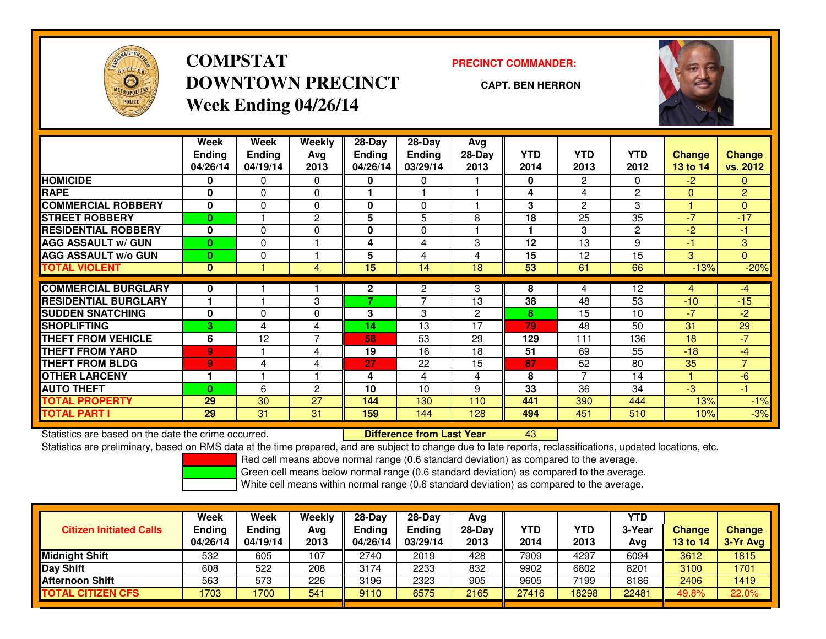

**COMPSTATDOWNTOWN PRECINCTWeek Ending 04/26/14**

#### **PRECINCT COMMANDER:**

**CAPT. BEN HERRON**

<sup>43</sup>



|                             | Week<br><b>Ending</b><br>04/26/14 | Week<br><b>Ending</b><br>04/19/14 | Weekly<br>Ava<br>2013 | $28-Day$<br><b>Endina</b><br>04/26/14 | $28$ -Day<br><b>Ending</b><br>03/29/14 | Avg<br>28-Day<br>2013 | <b>YTD</b><br>2014 | <b>YTD</b><br>2013 | <b>YTD</b><br>2012 | <b>Change</b><br><b>13 to 14</b> | Change<br>vs. 2012 |
|-----------------------------|-----------------------------------|-----------------------------------|-----------------------|---------------------------------------|----------------------------------------|-----------------------|--------------------|--------------------|--------------------|----------------------------------|--------------------|
| <b>HOMICIDE</b>             | 0                                 | 0                                 | 0                     | 0                                     | 0                                      |                       | 0                  | $\overline{2}$     | 0                  | $-2$                             | 0.                 |
| <b>RAPE</b>                 | 0                                 | 0                                 | $\Omega$              |                                       |                                        |                       | 4                  | 4                  | $\overline{2}$     | $\Omega$                         | $\overline{2}$     |
| <b>COMMERCIAL ROBBERY</b>   | $\bf{0}$                          | $\Omega$                          | $\Omega$              | 0                                     | $\Omega$                               |                       | 3                  | $\overline{2}$     | 3                  |                                  | $\Omega$           |
| <b>STREET ROBBERY</b>       | $\bf{0}$                          |                                   | 2                     | 5                                     | 5                                      | 8                     | 18                 | 25                 | 35                 | $-7$                             | $-17$              |
| <b>RESIDENTIAL ROBBERY</b>  | $\mathbf{0}$                      | $\Omega$                          | $\Omega$              | 0                                     | $\Omega$                               |                       |                    | 3                  | $\overline{c}$     | $-2$                             | $-1$               |
| <b>AGG ASSAULT w/ GUN</b>   | $\bf{0}$                          | $\Omega$                          |                       | 4                                     | 4                                      | 3                     | 12                 | 13                 | 9                  | -1                               | 3 <sup>1</sup>     |
| <b>AGG ASSAULT w/o GUN</b>  | $\mathbf{0}$                      | 0                                 |                       | 5                                     | 4                                      | 4                     | 15                 | 12                 | 15                 | 3                                | $\overline{0}$     |
| <b>TOTAL VIOLENT</b>        | $\mathbf{0}$                      |                                   | 4                     | 15                                    | 14                                     | 18                    | 53                 | 61                 | 66                 | $-13%$                           | $-20%$             |
| <b>COMMERCIAL BURGLARY</b>  |                                   |                                   |                       |                                       |                                        |                       | 8                  |                    |                    |                                  |                    |
|                             | 0                                 |                                   |                       | $\mathbf{2}$                          | $\overline{c}$<br>⇁                    | 3                     |                    | 4                  | 12                 | 4                                | $-4$               |
| <b>RESIDENTIAL BURGLARY</b> |                                   |                                   | 3                     | 7                                     |                                        | 13                    | 38                 | 48                 | 53                 | $-10$                            | $-15$              |
| <b>SUDDEN SNATCHING</b>     | 0                                 | 0                                 | 0                     | 3                                     | 3                                      | $\overline{2}$        | 8                  | 15                 | 10                 | $-7$                             | $-2$               |
| <b>SHOPLIFTING</b>          | 3                                 | 4                                 | 4                     | 14                                    | 13                                     | 17                    | 79                 | 48                 | 50                 | 31                               | 29                 |
| <b>THEFT FROM VEHICLE</b>   | 6                                 | 12                                | $\overline{7}$        | 58                                    | 53                                     | 29                    | 129                | 111                | 136                | 18                               | $-7$               |
| <b>THEFT FROM YARD</b>      | $\overline{9}$                    |                                   | 4                     | 19                                    | 16                                     | 18                    | 51                 | 69                 | 55                 | $-18$                            | $-4$               |
| <b>THEFT FROM BLDG</b>      | 9                                 | 4                                 | 4                     | 27                                    | 22                                     | 15                    | 87                 | 52                 | 80                 | 35                               | $\overline{7}$     |
| <b>OTHER LARCENY</b>        | 1                                 |                                   |                       | 4                                     | 4                                      | 4                     | 8                  | $\overline{7}$     | 14                 |                                  | $-6$               |
| <b>AUTO THEFT</b>           | $\bf{0}$                          | 6                                 | $\overline{c}$        | 10                                    | 10                                     | 9                     | 33                 | 36                 | 34                 | $-3$                             | $-1$               |
| <b>TOTAL PROPERTY</b>       | 29                                | 30                                | 27                    | 144                                   | 130                                    | 110                   | 441                | 390                | 444                | 13%                              | $-1%$              |
| <b>TOTAL PART I</b>         | 29                                | 31                                | 31                    | 159                                   | 144                                    | 128                   | 494                | 451                | 510                | 10%                              | $-3%$              |

Statistics are based on the date the crime occurred. **Difference from Last Year** 

Statistics are preliminary, based on RMS data at the time prepared, and are subject to change due to late reports, reclassifications, updated locations, etc.

Red cell means above normal range (0.6 standard deviation) as compared to the average.

Green cell means below normal range (0.6 standard deviation) as compared to the average.

|                                | Week          | Week          | Weekly | $28-Day$ | $28-Day$      | Avg      |       |       | <b>YTD</b> |               |               |
|--------------------------------|---------------|---------------|--------|----------|---------------|----------|-------|-------|------------|---------------|---------------|
| <b>Citizen Initiated Calls</b> | <b>Ending</b> | <b>Endina</b> | Avg    | Ending   | <b>Ending</b> | $28-Dav$ | YTD   | YTD   | 3-Year     | <b>Change</b> | <b>Change</b> |
|                                | 04/26/14      | 04/19/14      | 2013   | 04/26/14 | 03/29/14      | 2013     | 2014  | 2013  | Avg        | 13 to 14      | 3-Yr Avg      |
| <b>Midnight Shift</b>          | 532           | 605           | 107    | 2740     | 2019          | 428      | 7909  | 4297  | 6094       | 3612          | 1815          |
| Day Shift                      | 608           | 522           | 208    | 3174     | 2233          | 832      | 9902  | 6802  | 8201       | 3100          | 1701          |
| <b>Afternoon Shift</b>         | 563           | 573           | 226    | 3196     | 2323          | 905      | 9605  | 7199  | 8186       | 2406          | 1419          |
| <b>TOTAL CITIZEN CFS</b>       | 1703          | 1700          | 541    | 9110     | 6575          | 2165     | 27416 | 18298 | 22481      | 49.8%         | 22.0%         |
|                                |               |               |        |          |               |          |       |       |            |               |               |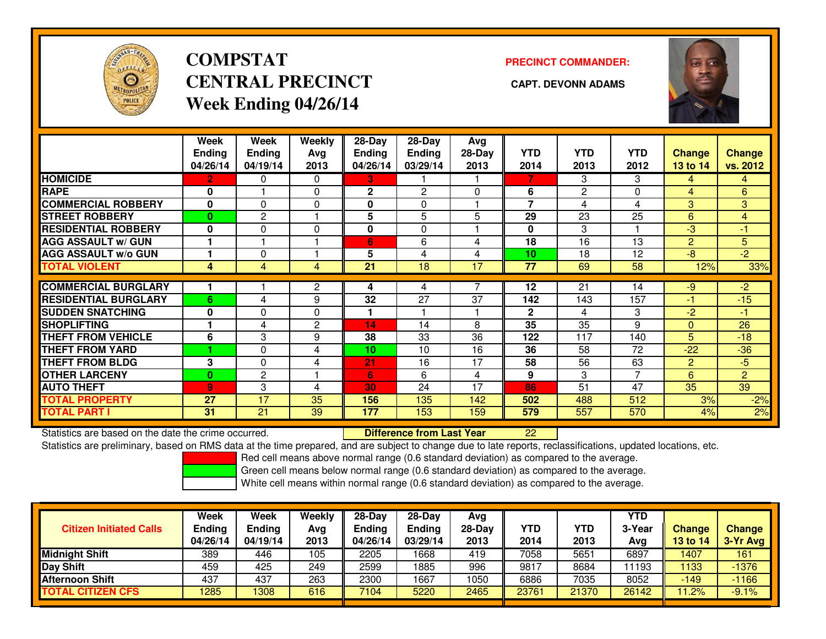

# **COMPSTATCENTRAL PRECINCT CAPT. DEVONN ADAMSWeek Ending 04/26/14**

#### **PRECINCT COMMANDER:**



|                             | Week<br><b>Ending</b><br>04/26/14 | Week<br><b>Ending</b><br>04/19/14 | Weekly<br>Avg<br>2013 | $28-Day$<br>Ending<br>04/26/14 | 28-Day<br><b>Ending</b><br>03/29/14 | Avg<br>$28-Day$<br>2013 | <b>YTD</b><br>2014       | <b>YTD</b><br>2013 | <b>YTD</b><br>2012 | <b>Change</b><br>13 to 14 | <b>Change</b><br>vs. 2012 |
|-----------------------------|-----------------------------------|-----------------------------------|-----------------------|--------------------------------|-------------------------------------|-------------------------|--------------------------|--------------------|--------------------|---------------------------|---------------------------|
| <b>HOMICIDE</b>             | 2                                 | 0                                 | 0                     | З.                             |                                     |                         | 7                        | 3                  | 3                  | 4                         | 4                         |
| <b>RAPE</b>                 | 0                                 |                                   | $\Omega$              | $\mathbf{2}$                   | $\overline{c}$                      | 0                       | 6                        | $\overline{2}$     | 0                  | 4                         | 6                         |
| <b>COMMERCIAL ROBBERY</b>   | 0                                 | $\Omega$                          | $\Omega$              | 0                              | 0                                   |                         | $\overline{\phantom{a}}$ | 4                  | 4                  | 3                         | 3                         |
| <b>STREET ROBBERY</b>       | $\bf{0}$                          | $\overline{c}$                    | и                     | 5                              | 5                                   | 5                       | 29                       | 23                 | 25                 | $6 \overline{6}$          | $\overline{4}$            |
| <b>RESIDENTIAL ROBBERY</b>  | $\bf{0}$                          | 0                                 | $\Omega$              | 0                              | $\Omega$                            |                         | $\mathbf{0}$             | 3                  |                    | -3                        | -1                        |
| <b>AGG ASSAULT w/ GUN</b>   |                                   |                                   |                       | $6\phantom{1}$                 | 6                                   | 4                       | 18                       | 16                 | 13                 | $\overline{2}$            | 5 <sup>1</sup>            |
| <b>AGG ASSAULT w/o GUN</b>  |                                   | O                                 |                       | 5                              | 4                                   | 4                       | 10                       | 18                 | 12                 | $-8$                      | $-2$                      |
| <b>TOTAL VIOLENT</b>        | 4                                 | 4                                 | 4                     | 21                             | 18                                  | 17                      | $\overline{77}$          | 69                 | 58                 | 12%                       | 33%                       |
|                             |                                   |                                   |                       |                                |                                     |                         |                          |                    |                    |                           |                           |
| <b>COMMERCIAL BURGLARY</b>  |                                   |                                   | $\overline{2}$        | 4                              | 4                                   |                         | 12                       | 21                 | 14                 | $-9$                      | $-2$                      |
| <b>RESIDENTIAL BURGLARY</b> | 6                                 | 4                                 | 9                     | 32                             | 27                                  | 37                      | 142                      | 143                | 157                | -1                        | $-15$                     |
| <b>SUDDEN SNATCHING</b>     | $\bf{0}$                          | 0                                 | $\Omega$              |                                |                                     |                         | $\mathbf{2}$             | 4                  | 3                  | $-2$                      | $-1$                      |
| <b>SHOPLIFTING</b>          |                                   | 4                                 | $\mathbf{2}$          | 14                             | 14                                  | 8                       | 35                       | 35                 | 9                  | $\mathbf{0}$              | 26                        |
| <b>THEFT FROM VEHICLE</b>   | 6                                 | 3                                 | 9                     | 38                             | 33                                  | 36                      | 122                      | 117                | 140                | 5                         | $-18$                     |
| <b>THEFT FROM YARD</b>      |                                   | 0                                 | 4                     | 10                             | 10                                  | 16                      | 36                       | 58                 | 72                 | $-22$                     | $-36$                     |
| <b>THEFT FROM BLDG</b>      | 3                                 | $\Omega$                          | 4                     | 21                             | 16                                  | 17                      | 58                       | 56                 | 63                 | 2                         | $-5$                      |
| <b>OTHER LARCENY</b>        | 0                                 | 2                                 |                       | 6                              | 6                                   | 4                       | 9                        | 3                  | 7                  | 6                         | $\overline{2}$            |
| <b>AUTO THEFT</b>           | $\overline{9}$                    | 3                                 | 4                     | 30                             | 24                                  | 17                      | 86                       | 51                 | 47                 | 35                        | 39                        |
| <b>TOTAL PROPERTY</b>       | 27                                | 17                                | 35                    | 156                            | 135                                 | 142                     | 502                      | 488                | 512                | 3%                        | $-2%$                     |
| <b>TOTAL PART I</b>         | 31                                | 21                                | 39                    | 177                            | 153                                 | 159                     | 579                      | 557                | 570                | 4%                        | 2%                        |

Statistics are based on the date the crime occurred. **Difference from Last Year** 

Statistics are based on the date the crime occurred. **Externee the Difference from Last Year hte are the 22 Li**<br>Statistics are preliminary, based on RMS data at the time prepared, and are subject to change due to late repo

Red cell means above normal range (0.6 standard deviation) as compared to the average.

Green cell means below normal range (0.6 standard deviation) as compared to the average.

|                                | <b>Week</b>               | Week               | Weekly | $28-Day$                  | $28-Dav$                  | Avg      |       |            | YTD    |                 |               |
|--------------------------------|---------------------------|--------------------|--------|---------------------------|---------------------------|----------|-------|------------|--------|-----------------|---------------|
| <b>Citizen Initiated Calls</b> | <b>Ending</b><br>04/26/14 | Ending<br>04/19/14 | Avg    | <b>Ending</b><br>04/26/14 | <b>Ending</b><br>03/29/14 | $28-Day$ | YTD   | <b>YTD</b> | 3-Year | <b>Change</b>   | <b>Change</b> |
|                                |                           |                    | 2013   |                           |                           | 2013     | 2014  | 2013       | Avg    | <b>13 to 14</b> | 3-Yr Avg      |
| <b>Midnight Shift</b>          | 389                       | 446                | 105    | 2205                      | 1668                      | 419      | 7058  | 5651       | 6897   | 1407            | 161           |
| Day Shift                      | 459                       | 425                | 249    | 2599                      | 1885                      | 996      | 9817  | 8684       | 1193   | 1133            | $-1376$       |
| <b>Afternoon Shift</b>         | 437                       | 437                | 263    | 2300                      | 1667                      | 1050     | 6886  | 7035       | 8052   | $-149$          | $-1166$       |
| <b>TOTAL CITIZEN CFS</b>       | 285                       | 1308               | 616    | 7104                      | 5220                      | 2465     | 23761 | 21370      | 26142  | 11.2%           | $-9.1%$       |
|                                |                           |                    |        |                           |                           |          |       |            |        |                 |               |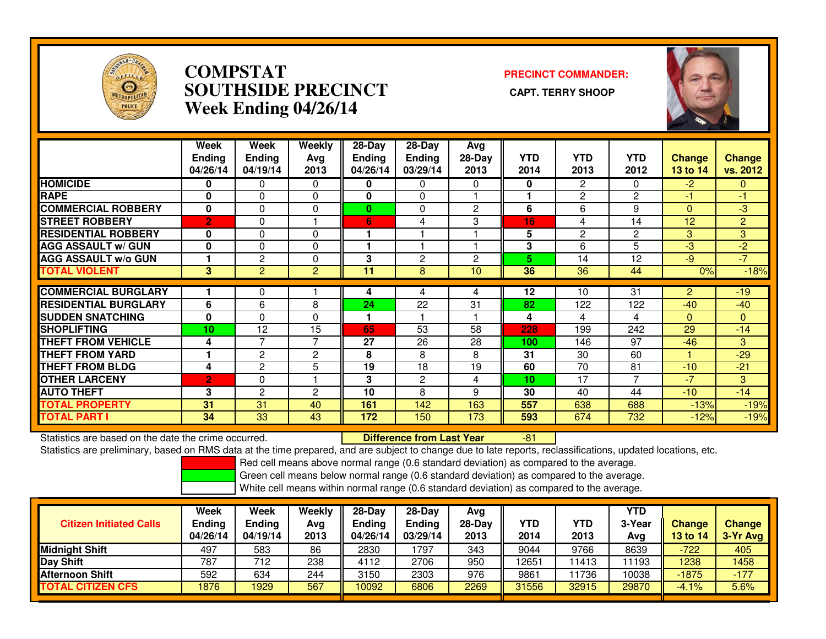

## **COMPSTAT PRECINCT COMMANDER: SOUTHSIDE PRECINCT CAPT. TERRY SHOOPWeek Ending 04/26/14**



|                             | Week<br><b>Ending</b><br>04/26/14 | Week<br><b>Ending</b><br>04/19/14 | Weekly<br>Avg<br>2013 | $28-Day$<br><b>Ending</b><br>04/26/14 | 28-Day<br><b>Ending</b><br>03/29/14 | Avg<br>$28-Day$<br>2013 | <b>YTD</b><br>2014 | <b>YTD</b><br>2013 | <b>YTD</b><br>2012 | <b>Change</b><br>13 to 14 | Change<br>vs. 2012 |
|-----------------------------|-----------------------------------|-----------------------------------|-----------------------|---------------------------------------|-------------------------------------|-------------------------|--------------------|--------------------|--------------------|---------------------------|--------------------|
| <b>HOMICIDE</b>             | 0                                 | 0                                 | $\mathbf{0}$          | 0                                     | 0                                   | $\Omega$                | 0                  | $\overline{2}$     | $\Omega$           | $-2$                      | 0                  |
| <b>RAPE</b>                 | 0                                 | 0                                 | $\Omega$              | 0                                     | $\Omega$                            |                         |                    | $\overline{2}$     | $\overline{2}$     | 41                        | $-1$               |
| <b>COMMERCIAL ROBBERY</b>   | 0                                 | 0                                 | 0                     | 0                                     | $\Omega$                            | $\overline{2}$          | 6                  | 6                  | 9                  | $\mathbf{0}$              | $-3$               |
| <b>STREET ROBBERY</b>       | $\overline{2}$                    | $\Omega$                          |                       | 6                                     | 4                                   | 3                       | 16                 | 4                  | 14                 | 12                        | $\overline{2}$     |
| <b>RESIDENTIAL ROBBERY</b>  | 0                                 | 0                                 | $\Omega$              |                                       |                                     |                         | 5                  | $\overline{c}$     | $\overline{2}$     | 3                         | 3                  |
| <b>AGG ASSAULT w/ GUN</b>   | $\mathbf 0$                       | 0                                 | 0                     |                                       |                                     |                         | 3                  | 6                  | 5                  | -3                        | $-2$               |
| <b>AGG ASSAULT w/o GUN</b>  |                                   | $\overline{c}$                    | $\Omega$              | 3                                     | $\overline{c}$                      | $\overline{2}$          | 5                  | 14                 | 12                 | -9                        | $-7$               |
| <b>TOTAL VIOLENT</b>        | 3                                 | $\overline{2}$                    | 2                     | 11                                    | 8                                   | 10                      | 36                 | 36                 | 44                 | 0%                        | $-18%$             |
|                             |                                   |                                   |                       |                                       |                                     |                         |                    |                    |                    |                           |                    |
| <b>COMMERCIAL BURGLARY</b>  |                                   | 0                                 |                       | 4                                     | 4                                   | 4                       | 12                 | 10                 | $\overline{31}$    | $\overline{2}$            | $-19$              |
| <b>RESIDENTIAL BURGLARY</b> | 6                                 | 6                                 | 8                     | 24                                    | 22                                  | 31                      | 82                 | 122                | 122                | $-40$                     | $-40$              |
| <b>SUDDEN SNATCHING</b>     | 0                                 | 0                                 | $\Omega$              |                                       |                                     |                         | 4                  | 4                  | 4                  | $\mathbf{0}$              | $\mathbf{0}$       |
| <b>SHOPLIFTING</b>          | 10                                | 12                                | 15                    | 65                                    | 53                                  | 58                      | 228                | 199                | 242                | 29                        | $-14$              |
| <b>THEFT FROM VEHICLE</b>   | 4                                 | 7                                 | $\overline{7}$        | 27                                    | 26                                  | 28                      | 100                | 146                | 97                 | $-46$                     | 3                  |
| <b>THEFT FROM YARD</b>      | 1                                 | $\overline{c}$                    | $\mathbf{2}$          | 8                                     | 8                                   | 8                       | 31                 | 30                 | 60                 |                           | $-29$              |
| <b>THEFT FROM BLDG</b>      | 4                                 | 2                                 | 5                     | 19                                    | 18                                  | 19                      | 60                 | 70                 | 81                 | $-10$                     | $-21$              |
| <b>OTHER LARCENY</b>        | $\overline{2}$                    | 0                                 |                       | 3                                     | $\overline{c}$                      | 4                       | 10                 | 17                 | $\overline{7}$     | $-7$                      | 3                  |
| <b>AUTO THEFT</b>           | 3                                 | $\overline{2}$                    | 2                     | 10                                    | 8                                   | 9                       | 30                 | 40                 | 44                 | $-10$                     | $-14$              |
| <b>TOTAL PROPERTY</b>       | 31                                | 31                                | 40                    | 161                                   | 142                                 | 163                     | 557                | 638                | 688                | $-13%$                    | $-19%$             |
| <b>TOTAL PART I</b>         | 34                                | 33                                | 43                    | 172                                   | 150                                 | 173                     | 593                | 674                | 732                | $-12%$                    | $-19%$             |

Statistics are based on the date the crime occurred. **Difference from Last Year** 

Statistics are based on the date the crime occurred. **Externee the Difference from Last Year Theore** 1-81 Theores<br>Statistics are preliminary, based on RMS data at the time prepared, and are subject to change due to late re

Red cell means above normal range (0.6 standard deviation) as compared to the average.

Green cell means below normal range (0.6 standard deviation) as compared to the average.

| <b>Citizen Initiated Calls</b> | <b>Week</b><br><b>Ending</b><br>04/26/14 | <b>Week</b><br><b>Ending</b><br>04/19/14 | Weekly<br>Avg<br>2013 | $28-Day$<br><b>Ending</b><br>04/26/14 | 28-Dav<br><b>Ending</b><br>03/29/14 | Avg<br>28-Day<br>2013 | YTD<br>2014 | YTD<br>2013 | <b>YTD</b><br>3-Year<br>Avg | <b>Change</b><br>13 to 14 | <b>Change</b><br>3-Yr Avg |
|--------------------------------|------------------------------------------|------------------------------------------|-----------------------|---------------------------------------|-------------------------------------|-----------------------|-------------|-------------|-----------------------------|---------------------------|---------------------------|
| <b>Midnight Shift</b>          | 497                                      | 583                                      | 86                    | 2830                                  | 797                                 | 343                   | 9044        | 9766        | 8639                        | $-722$                    | 405                       |
| Day Shift                      | 787                                      | 712                                      | 238                   | 4112                                  | 2706                                | 950                   | 12651       | 11413       | 1193                        | 1238                      | 1458                      |
| <b>Afternoon Shift</b>         | 592                                      | 634                                      | 244                   | 3150                                  | 2303                                | 976                   | 9861        | 1736        | 10038                       | $-1875$                   | $-177$                    |
| <b>TOTAL CITIZEN CFS</b>       | 876                                      | 1929                                     | 567                   | 10092                                 | 6806                                | 2269                  | 31556       | 32915       | 29870                       | $-4.1%$                   | 5.6%                      |